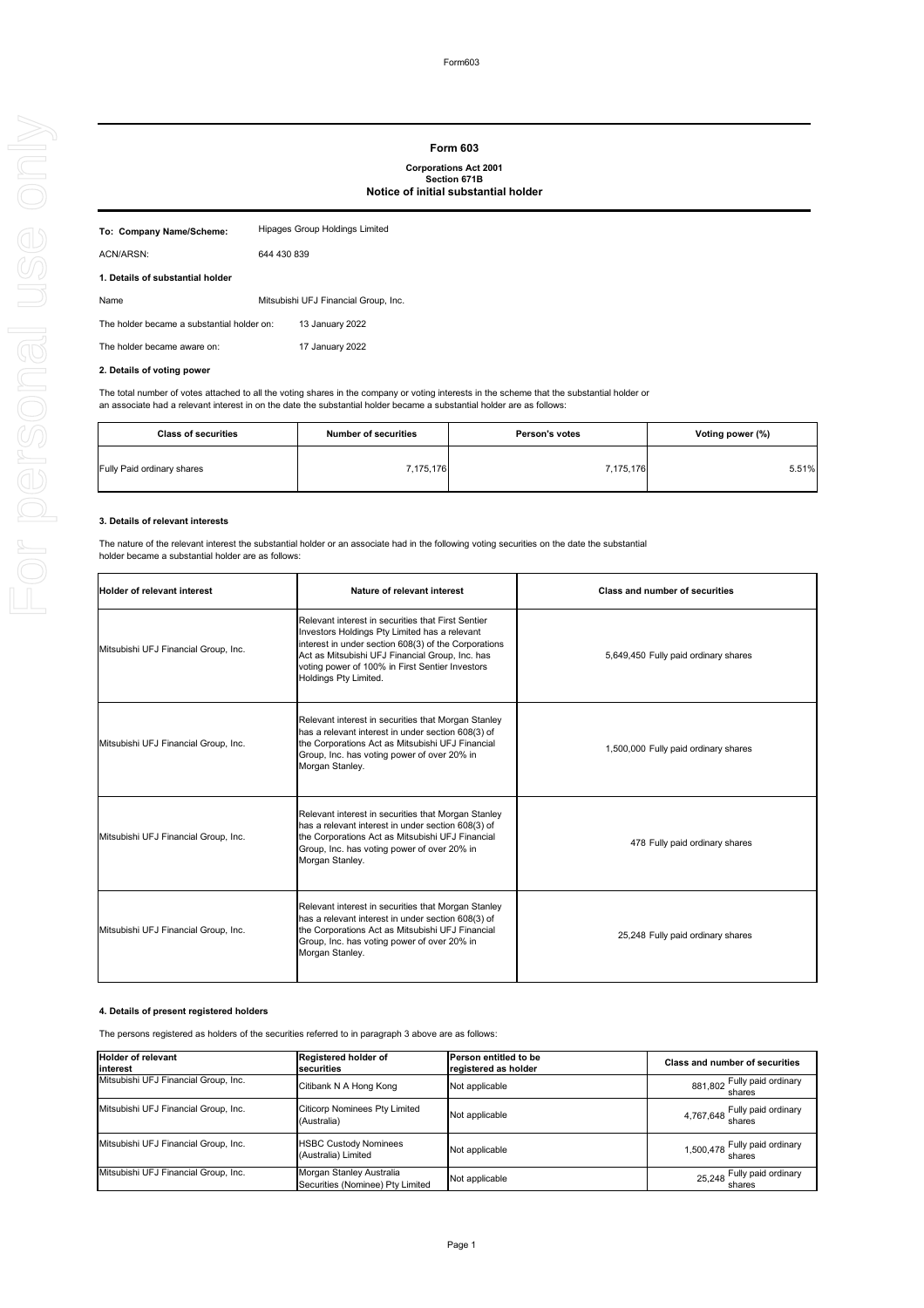Form603

# **2. Details of voting power**

The total number of votes attached to all the voting shares in the company or voting interests in the scheme that the substantial holder or an associate had a relevant interest in on the date the substantial holder became a substantial holder are as follows:

# **3. Details of relevant interests**

| To: Company Name/Scheme:                   | Hipages Group Holdings Limited       |                 |
|--------------------------------------------|--------------------------------------|-----------------|
| ACN/ARSN:                                  | 644 430 839                          |                 |
| 1. Details of substantial holder           |                                      |                 |
| Name                                       | Mitsubishi UFJ Financial Group, Inc. |                 |
| The holder became a substantial holder on: |                                      | 13 January 2022 |
| The holder became aware on:                |                                      | 17 January 2022 |
|                                            |                                      |                 |

The nature of the relevant interest the substantial holder or an associate had in the following voting securities on the date the substantial holder became a substantial holder are as follows:

### **4. Details of present registered holders**

The persons registered as holders of the securities referred to in paragraph 3 above are as follows:

# **Form 603**

# **Corporations Act 2001 Section 671B Notice of initial substantial holder**

| <b>Class of securities</b>        | <b>Number of securities</b> | <b>Person's votes</b> | Voting power (%) |
|-----------------------------------|-----------------------------|-----------------------|------------------|
| <b>Fully Paid ordinary shares</b> | 7,175,176                   | 7,175,176             | 5.51%            |

| <b>Holder of relevant interest</b>   | Nature of relevant interest                                                                                                                                                                                                                                                                | <b>Class and number of securities</b> |
|--------------------------------------|--------------------------------------------------------------------------------------------------------------------------------------------------------------------------------------------------------------------------------------------------------------------------------------------|---------------------------------------|
| Mitsubishi UFJ Financial Group, Inc. | Relevant interest in securities that First Sentier<br>Investors Holdings Pty Limited has a relevant<br>interest in under section 608(3) of the Corporations<br>Act as Mitsubishi UFJ Financial Group, Inc. has<br>voting power of 100% in First Sentier Investors<br>Holdings Pty Limited. | 5,649,450 Fully paid ordinary shares  |
| Mitsubishi UFJ Financial Group, Inc. | Relevant interest in securities that Morgan Stanley<br>has a relevant interest in under section 608(3) of<br>the Corporations Act as Mitsubishi UFJ Financial<br>Group, Inc. has voting power of over 20% in<br>Morgan Stanley.                                                            | 1,500,000 Fully paid ordinary shares  |
| Mitsubishi UFJ Financial Group, Inc. | Relevant interest in securities that Morgan Stanley<br>has a relevant interest in under section 608(3) of<br>the Corporations Act as Mitsubishi UFJ Financial<br>Group, Inc. has voting power of over 20% in<br>Morgan Stanley.                                                            | 478 Fully paid ordinary shares        |
| Mitsubishi UFJ Financial Group, Inc. | Relevant interest in securities that Morgan Stanley<br>has a relevant interest in under section 608(3) of<br>the Corporations Act as Mitsubishi UFJ Financial<br>Group, Inc. has voting power of over 20% in<br>Morgan Stanley.                                                            | 25,248 Fully paid ordinary shares     |

| <b>Holder of relevant</b><br>linterest | <b>Registered holder of</b><br>Isecurities                   | <b>Person entitled to be</b><br>registered as holder | <b>Class and number of securities</b>   |
|----------------------------------------|--------------------------------------------------------------|------------------------------------------------------|-----------------------------------------|
| Mitsubishi UFJ Financial Group, Inc.   | Citibank N A Hong Kong                                       | Not applicable                                       | 881,802 Fully paid ordinary<br>shares   |
| Mitsubishi UFJ Financial Group, Inc.   | <b>Citicorp Nominees Pty Limited</b><br>(Australia)          | Not applicable                                       | 4,767,648 Fully paid ordinary<br>shares |
| Mitsubishi UFJ Financial Group, Inc.   | <b>HSBC Custody Nominees</b><br>(Australia) Limited          | Not applicable                                       | 1,500,478 Fully paid ordinary<br>shares |
| Mitsubishi UFJ Financial Group, Inc.   | Morgan Stanley Australia<br>Securities (Nominee) Pty Limited | Not applicable                                       | 25,248 Fully paid ordinary              |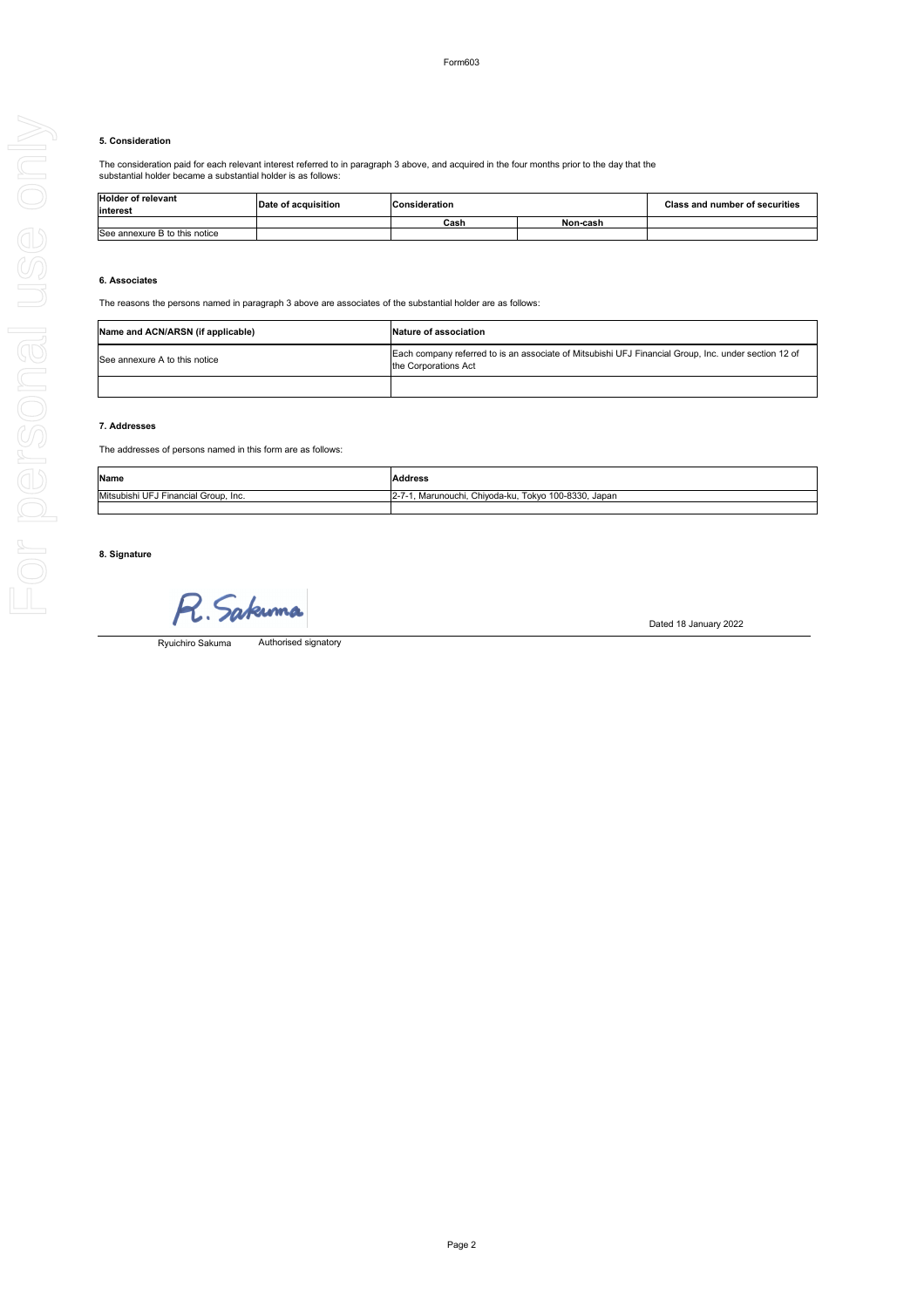# Form603

### **5. Consideration**

The consideration paid for each relevant interest referred to in paragraph 3 above, and acquired in the four months prior to the day that the substantial holder became a substantial holder is as follows:

### **6. Associates**

The reasons the persons named in paragraph 3 above are associates of the substantial holder are as follows:

### **7. Addresses**

The addresses of persons named in this form are as follows:

# **8. Signature**

R. Sakuma

Dated 18 January 2022

| Name and ACN/ARSN (if applicable) |                               | Nature of association                                                                                                        |  |  |
|-----------------------------------|-------------------------------|------------------------------------------------------------------------------------------------------------------------------|--|--|
|                                   | See annexure A to this notice | Each company referred to is an associate of Mitsubishi UFJ Financial Group, Inc. under section 12 of<br>the Corporations Act |  |  |
|                                   |                               |                                                                                                                              |  |  |

| <b>Holder of relevant</b><br>interest | Date of acquisition | <b>Consideration</b> |          | <b>Class and number of securities</b> |
|---------------------------------------|---------------------|----------------------|----------|---------------------------------------|
|                                       |                     | Cash                 | Non-cash |                                       |
| See annexure B to this notice         |                     |                      |          |                                       |

Authorised signatory Ryuichiro Sakuma

| Name                                         | <b>Address</b>                                           |
|----------------------------------------------|----------------------------------------------------------|
| - IMitsubishi UFJ<br>J Financial Group, Inc. | , Marunouchi, Chiyoda-ku, Tokyo 100-8330, Japan<br>$Z-I$ |
|                                              |                                                          |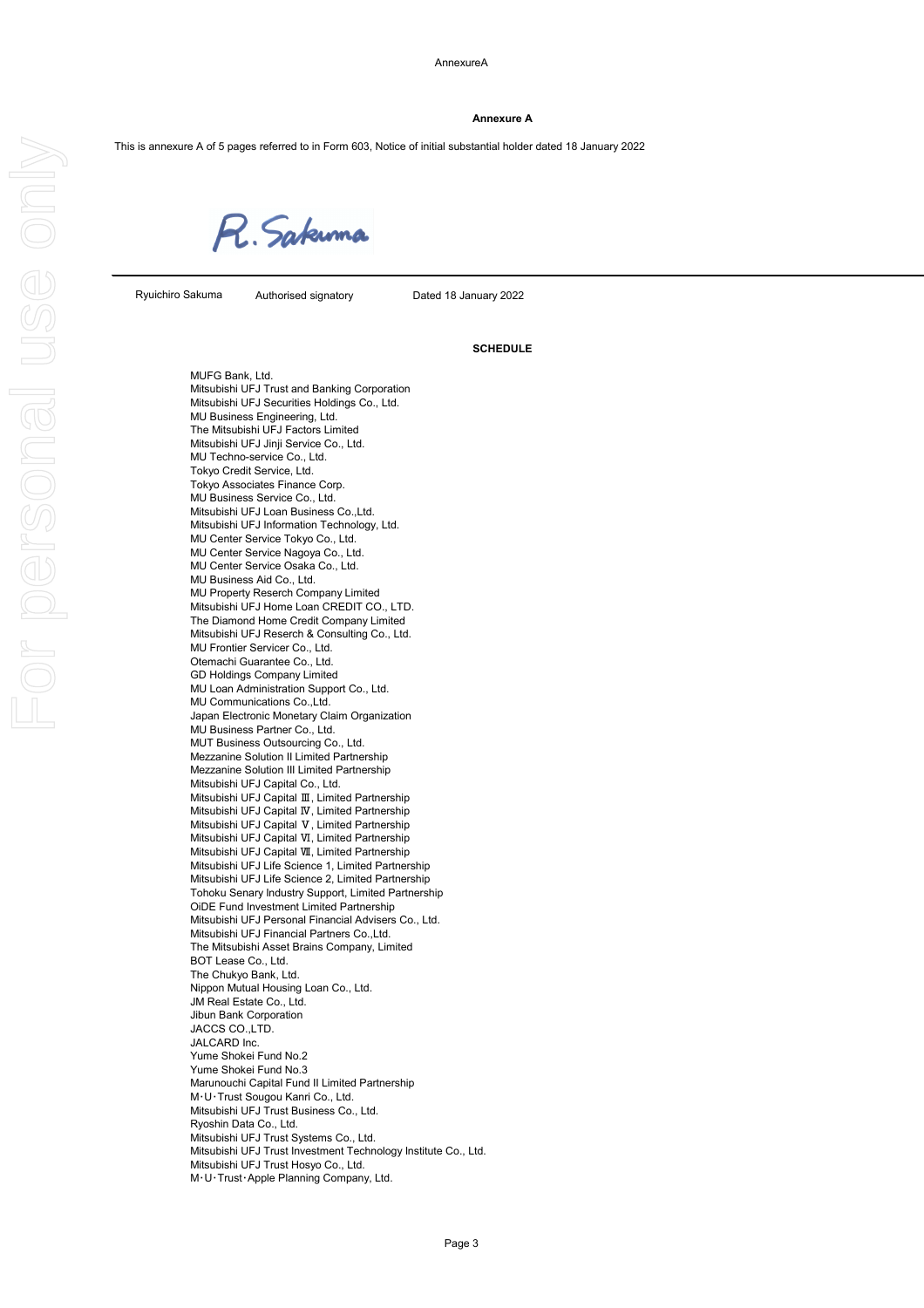#### **Annexure A**

This is annexure A of 5 pages referred to in Form 603, Notice of initial substantial holder dated 18 January 2022

R. Sakuma

Authorised signatory Dated 18 January 2022

#### **SCHEDULE**

MUFG Bank, Ltd. Mitsubishi UFJ Trust and Banking Corporation Mitsubishi UFJ Securities Holdings Co., Ltd. MU Business Engineering, Ltd. The Mitsubishi UFJ Factors Limited Mitsubishi UFJ Jinji Service Co., Ltd. MU Techno-service Co., Ltd. Tokyo Credit Service, Ltd. Tokyo Associates Finance Corp. MU Business Service Co., Ltd. Mitsubishi UFJ Loan Business Co.,Ltd. Mitsubishi UFJ Information Technology, Ltd. MU Center Service Tokyo Co., Ltd. MU Center Service Nagoya Co., Ltd. MU Center Service Osaka Co., Ltd. MU Business Aid Co., Ltd. MU Property Reserch Company Limited Mitsubishi UFJ Home Loan CREDIT CO., LTD. The Diamond Home Credit Company Limited Mitsubishi UFJ Reserch & Consulting Co., Ltd. MU Frontier Servicer Co., Ltd. Otemachi Guarantee Co., Ltd. GD Holdings Company Limited MU Loan Administration Support Co., Ltd. MU Communications Co.,Ltd. Japan Electronic Monetary Claim Organization MU Business Partner Co., Ltd. MUT Business Outsourcing Co., Ltd. Mezzanine Solution II Limited Partnership Mezzanine Solution III Limited Partnership Mitsubishi UFJ Capital Co., Ltd. Mitsubishi UFJ Capital Ⅲ, Limited Partnership Mitsubishi UFJ Capital Ⅳ, Limited Partnership Mitsubishi UFJ Capital Ⅴ, Limited Partnership Mitsubishi UFJ Capital Ⅵ, Limited Partnership Mitsubishi UFJ Capital Ⅶ, Limited Partnership Mitsubishi UFJ Life Science 1, Limited Partnership Mitsubishi UFJ Life Science 2, Limited Partnership Tohoku Senary Industry Support, Limited Partnership OiDE Fund Investment Limited Partnership Mitsubishi UFJ Personal Financial Advisers Co., Ltd. Mitsubishi UFJ Financial Partners Co.,Ltd. The Mitsubishi Asset Brains Company, Limited BOT Lease Co., Ltd. The Chukyo Bank, Ltd. Nippon Mutual Housing Loan Co., Ltd. JM Real Estate Co., Ltd. Jibun Bank Corporation JACCS CO.,LTD. JALCARD Inc. Yume Shokei Fund No.2 Yume Shokei Fund No.3 Marunouchi Capital Fund II Limited Partnership M・U・Trust Sougou Kanri Co., Ltd. Mitsubishi UFJ Trust Business Co., Ltd. Ryoshin Data Co., Ltd. Mitsubishi UFJ Trust Systems Co., Ltd. Mitsubishi UFJ Trust Investment Technology Institute Co., Ltd. Mitsubishi UFJ Trust Hosyo Co., Ltd. M・U・Trust・Apple Planning Company, Ltd.

Page 3

Ryuichiro Sakuma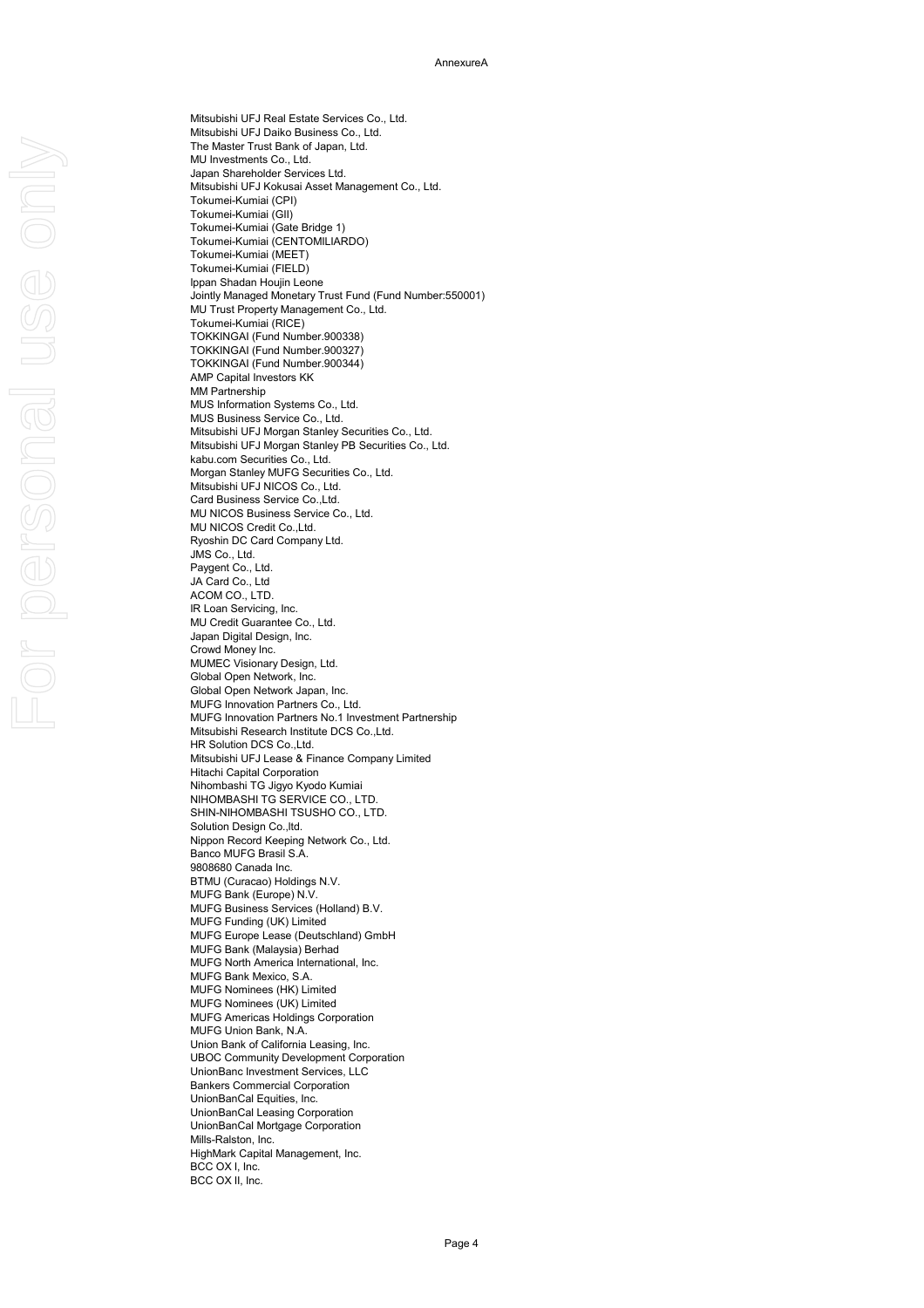Mitsubishi UFJ Real Estate Services Co., Ltd. Mitsubishi UFJ Daiko Business Co., Ltd. The Master Trust Bank of Japan, Ltd. MU Investments Co., Ltd. Japan Shareholder Services Ltd. Mitsubishi UFJ Kokusai Asset Management Co., Ltd. Tokumei-Kumiai (CPI) Tokumei-Kumiai (GII) Tokumei-Kumiai (Gate Bridge 1) Tokumei-Kumiai (CENTOMILIARDO) Tokumei-Kumiai (MEET) Tokumei-Kumiai (FIELD) Ippan Shadan Houjin Leone Jointly Managed Monetary Trust Fund (Fund Number:550001) MU Trust Property Management Co., Ltd. Tokumei-Kumiai (RICE) TOKKINGAI (Fund Number.900338) TOKKINGAI (Fund Number.900327) TOKKINGAI (Fund Number.900344) AMP Capital Investors KK MM Partnership MUS Information Systems Co., Ltd. MUS Business Service Co., Ltd. Mitsubishi UFJ Morgan Stanley Securities Co., Ltd. Mitsubishi UFJ Morgan Stanley PB Securities Co., Ltd. kabu.com Securities Co., Ltd. Morgan Stanley MUFG Securities Co., Ltd. Mitsubishi UFJ NICOS Co., Ltd. Card Business Service Co.,Ltd. MU NICOS Business Service Co., Ltd. MU NICOS Credit Co.,Ltd. Ryoshin DC Card Company Ltd. JMS Co., Ltd. Paygent Co., Ltd. JA Card Co., Ltd ACOM CO., LTD. IR Loan Servicing, Inc. MU Credit Guarantee Co., Ltd. Japan Digital Design, Inc. Crowd Money Inc. MUMEC Visionary Design, Ltd. Global Open Network, Inc. Global Open Network Japan, Inc. MUFG Innovation Partners Co., Ltd. MUFG Innovation Partners No.1 Investment Partnership Mitsubishi Research Institute DCS Co.,Ltd. HR Solution DCS Co.,Ltd. Mitsubishi UFJ Lease & Finance Company Limited Hitachi Capital Corporation Nihombashi TG Jigyo Kyodo Kumiai NIHOMBASHI TG SERVICE CO., LTD. SHIN-NIHOMBASHI TSUSHO CO., LTD. Solution Design Co.,ltd. Nippon Record Keeping Network Co., Ltd. Banco MUFG Brasil S.A. 9808680 Canada Inc. BTMU (Curacao) Holdings N.V. MUFG Bank (Europe) N.V. MUFG Business Services (Holland) B.V. MUFG Funding (UK) Limited MUFG Europe Lease (Deutschland) GmbH MUFG Bank (Malaysia) Berhad MUFG North America International, Inc.

MUFG Bank Mexico, S.A. MUFG Nominees (HK) Limited MUFG Nominees (UK) Limited MUFG Americas Holdings Corporation MUFG Union Bank, N.A. Union Bank of California Leasing, Inc. UBOC Community Development Corporation UnionBanc Investment Services, LLC Bankers Commercial Corporation UnionBanCal Equities, Inc. UnionBanCal Leasing Corporation UnionBanCal Mortgage Corporation Mills-Ralston, Inc. HighMark Capital Management, Inc. BCC OX I, Inc. BCC OX II, Inc.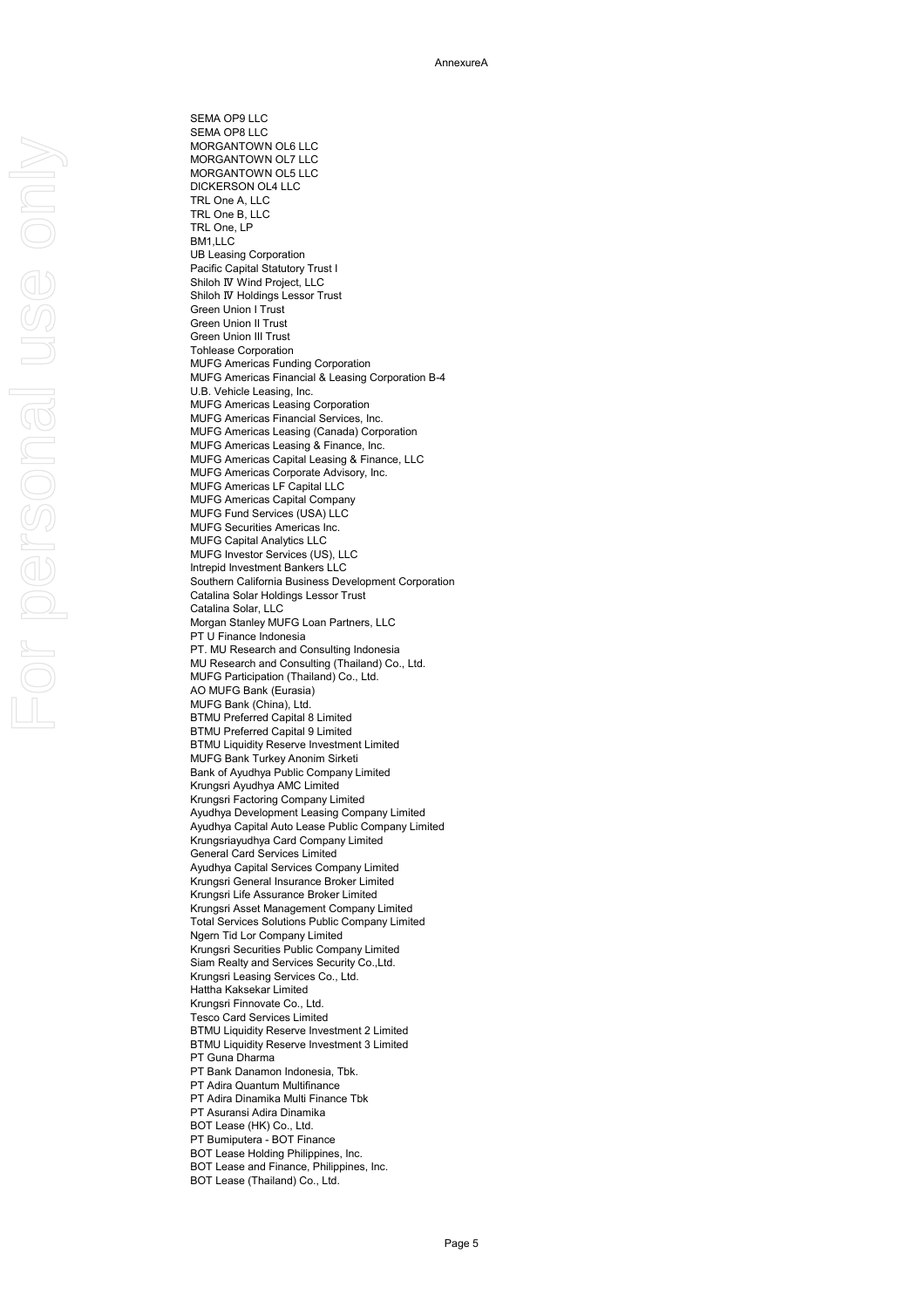SEMA OP9 LLC SEMA OP8 LLC MORGANTOWN OL6 LLC MORGANTOWN OL7 LLC MORGANTOWN OL5 LLC DICKERSON OL4 LLC TRL One A, LLC TRL One B, LLC TRL One, LP BM1,LLC UB Leasing Corporation Pacific Capital Statutory Trust I Shiloh Ⅳ Wind Project, LLC Shiloh Ⅳ Holdings Lessor Trust Green Union I Trust Green Union II Trust Green Union III Trust Tohlease Corporation MUFG Americas Funding Corporation MUFG Americas Financial & Leasing Corporation B-4 U.B. Vehicle Leasing, Inc. MUFG Americas Leasing Corporation MUFG Americas Financial Services, Inc. MUFG Americas Leasing (Canada) Corporation MUFG Americas Leasing & Finance, Inc. MUFG Americas Capital Leasing & Finance, LLC MUFG Americas Corporate Advisory, Inc. MUFG Americas LF Capital LLC MUFG Americas Capital Company MUFG Fund Services (USA) LLC MUFG Securities Americas Inc. MUFG Capital Analytics LLC MUFG Investor Services (US), LLC Intrepid Investment Bankers LLC Southern California Business Development Corporation Catalina Solar Holdings Lessor Trust Catalina Solar, LLC Morgan Stanley MUFG Loan Partners, LLC PT U Finance Indonesia PT. MU Research and Consulting Indonesia MU Research and Consulting (Thailand) Co., Ltd. MUFG Participation (Thailand) Co., Ltd. AO MUFG Bank (Eurasia) MUFG Bank (China), Ltd. BTMU Preferred Capital 8 Limited BTMU Preferred Capital 9 Limited BTMU Liquidity Reserve Investment Limited MUFG Bank Turkey Anonim Sirketi Bank of Ayudhya Public Company Limited Krungsri Ayudhya AMC Limited Krungsri Factoring Company Limited Ayudhya Development Leasing Company Limited Ayudhya Capital Auto Lease Public Company Limited Krungsriayudhya Card Company Limited General Card Services Limited Ayudhya Capital Services Company Limited Krungsri General Insurance Broker Limited Krungsri Life Assurance Broker Limited Krungsri Asset Management Company Limited Total Services Solutions Public Company Limited Ngern Tid Lor Company Limited Krungsri Securities Public Company Limited Siam Realty and Services Security Co.,Ltd.

Krungsri Leasing Services Co., Ltd. Hattha Kaksekar Limited Krungsri Finnovate Co., Ltd. Tesco Card Services Limited BTMU Liquidity Reserve Investment 2 Limited BTMU Liquidity Reserve Investment 3 Limited PT Guna Dharma PT Bank Danamon Indonesia, Tbk. PT Adira Quantum Multifinance PT Adira Dinamika Multi Finance Tbk PT Asuransi Adira Dinamika BOT Lease (HK) Co., Ltd. PT Bumiputera - BOT Finance BOT Lease Holding Philippines, Inc. BOT Lease and Finance, Philippines, Inc. BOT Lease (Thailand) Co., Ltd.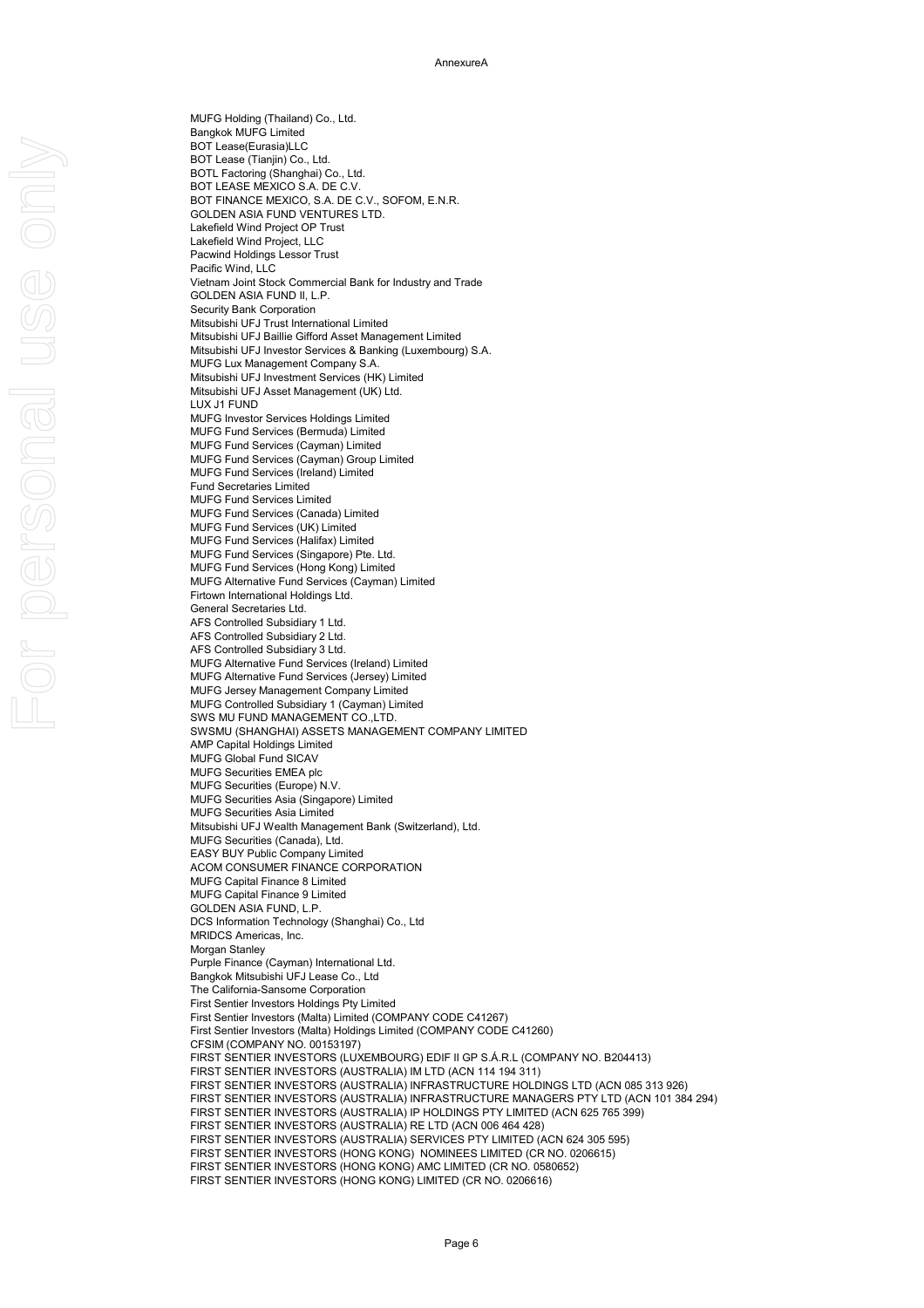MUFG Holding (Thailand) Co., Ltd. Bangkok MUFG Limited BOT Lease(Eurasia)LLC BOT Lease (Tianjin) Co., Ltd. BOTL Factoring (Shanghai) Co., Ltd. BOT LEASE MEXICO S.A. DE C.V. BOT FINANCE MEXICO, S.A. DE C.V., SOFOM, E.N.R. GOLDEN ASIA FUND VENTURES LTD. Lakefield Wind Project OP Trust Lakefield Wind Project, LLC Pacwind Holdings Lessor Trust Pacific Wind, LLC Vietnam Joint Stock Commercial Bank for Industry and Trade GOLDEN ASIA FUND II, L.P. Security Bank Corporation Mitsubishi UFJ Trust International Limited Mitsubishi UFJ Baillie Gifford Asset Management Limited Mitsubishi UFJ Investor Services & Banking (Luxembourg) S.A. MUFG Lux Management Company S.A. Mitsubishi UFJ Investment Services (HK) Limited Mitsubishi UFJ Asset Management (UK) Ltd. LUX J1 FUND MUFG Investor Services Holdings Limited MUFG Fund Services (Bermuda) Limited MUFG Fund Services (Cayman) Limited MUFG Fund Services (Cayman) Group Limited MUFG Fund Services (Ireland) Limited Fund Secretaries Limited MUFG Fund Services Limited MUFG Fund Services (Canada) Limited MUFG Fund Services (UK) Limited MUFG Fund Services (Halifax) Limited MUFG Fund Services (Singapore) Pte. Ltd. MUFG Fund Services (Hong Kong) Limited MUFG Alternative Fund Services (Cayman) Limited Firtown International Holdings Ltd. General Secretaries Ltd. AFS Controlled Subsidiary 1 Ltd. AFS Controlled Subsidiary 2 Ltd. AFS Controlled Subsidiary 3 Ltd. MUFG Alternative Fund Services (Ireland) Limited MUFG Alternative Fund Services (Jersey) Limited MUFG Jersey Management Company Limited MUFG Controlled Subsidiary 1 (Cayman) Limited SWS MU FUND MANAGEMENT CO.,LTD. SWSMU (SHANGHAI) ASSETS MANAGEMENT COMPANY LIMITED AMP Capital Holdings Limited MUFG Global Fund SICAV MUFG Securities EMEA plc MUFG Securities (Europe) N.V. MUFG Securities Asia (Singapore) Limited MUFG Securities Asia Limited Mitsubishi UFJ Wealth Management Bank (Switzerland), Ltd. MUFG Securities (Canada), Ltd. EASY BUY Public Company Limited ACOM CONSUMER FINANCE CORPORATION MUFG Capital Finance 8 Limited MUFG Capital Finance 9 Limited GOLDEN ASIA FUND, L.P. DCS Information Technology (Shanghai) Co., Ltd MRIDCS Americas, Inc. Morgan Stanley

Purple Finance (Cayman) International Ltd. Bangkok Mitsubishi UFJ Lease Co., Ltd The California-Sansome Corporation First Sentier Investors Holdings Pty Limited First Sentier Investors (Malta) Limited (COMPANY CODE C41267) First Sentier Investors (Malta) Holdings Limited (COMPANY CODE C41260) CFSIM (COMPANY NO. 00153197) FIRST SENTIER INVESTORS (LUXEMBOURG) EDIF II GP S.Á.R.L (COMPANY NO. B204413) FIRST SENTIER INVESTORS (AUSTRALIA) IM LTD (ACN 114 194 311) FIRST SENTIER INVESTORS (AUSTRALIA) INFRASTRUCTURE HOLDINGS LTD (ACN 085 313 926) FIRST SENTIER INVESTORS (AUSTRALIA) INFRASTRUCTURE MANAGERS PTY LTD (ACN 101 384 294) FIRST SENTIER INVESTORS (AUSTRALIA) IP HOLDINGS PTY LIMITED (ACN 625 765 399) FIRST SENTIER INVESTORS (AUSTRALIA) RE LTD (ACN 006 464 428) FIRST SENTIER INVESTORS (AUSTRALIA) SERVICES PTY LIMITED (ACN 624 305 595) FIRST SENTIER INVESTORS (HONG KONG) NOMINEES LIMITED (CR NO. 0206615) FIRST SENTIER INVESTORS (HONG KONG) AMC LIMITED (CR NO. 0580652) FIRST SENTIER INVESTORS (HONG KONG) LIMITED (CR NO. 0206616)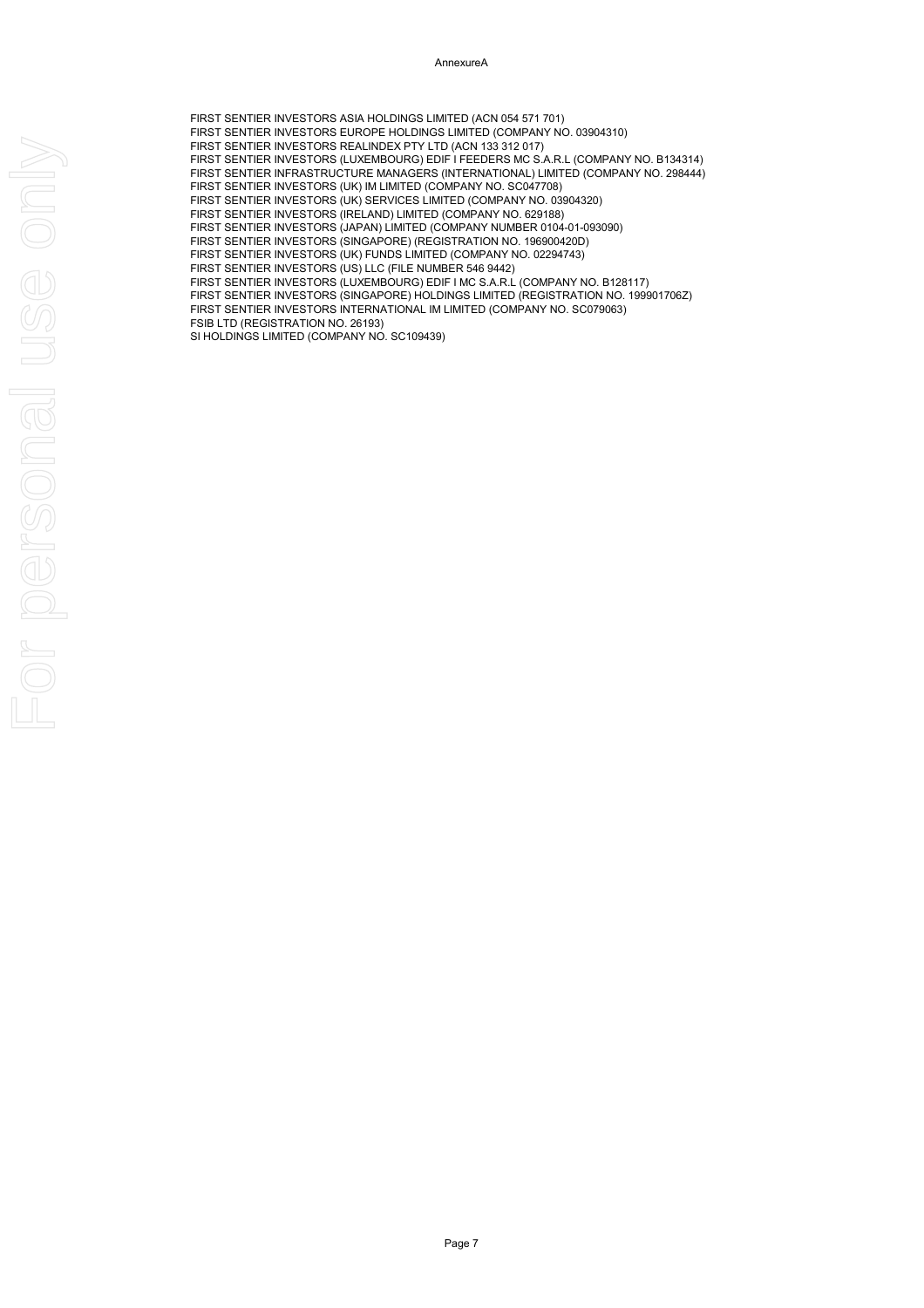AnnexureA

FIRST SENTIER INVESTORS ASIA HOLDINGS LIMITED (ACN 054 571 701) FIRST SENTIER INVESTORS EUROPE HOLDINGS LIMITED (COMPANY NO. 03904310) FIRST SENTIER INVESTORS REALINDEX PTY LTD (ACN 133 312 017) FIRST SENTIER INVESTORS (LUXEMBOURG) EDIF I FEEDERS MC S.A.R.L (COMPANY NO. B134314) FIRST SENTIER INFRASTRUCTURE MANAGERS (INTERNATIONAL) LIMITED (COMPANY NO. 298444) FIRST SENTIER INVESTORS (UK) IM LIMITED (COMPANY NO. SC047708) FIRST SENTIER INVESTORS (UK) SERVICES LIMITED (COMPANY NO. 03904320) FIRST SENTIER INVESTORS (IRELAND) LIMITED (COMPANY NO. 629188) FIRST SENTIER INVESTORS (JAPAN) LIMITED (COMPANY NUMBER 0104-01-093090) FIRST SENTIER INVESTORS (SINGAPORE) (REGISTRATION NO. 196900420D) FIRST SENTIER INVESTORS (UK) FUNDS LIMITED (COMPANY NO. 02294743) FIRST SENTIER INVESTORS (US) LLC (FILE NUMBER 546 9442) FIRST SENTIER INVESTORS (LUXEMBOURG) EDIF I MC S.A.R.L (COMPANY NO. B128117) FIRST SENTIER INVESTORS (SINGAPORE) HOLDINGS LIMITED (REGISTRATION NO. 199901706Z) FIRST SENTIER INVESTORS INTERNATIONAL IM LIMITED (COMPANY NO. SC079063) FSIB LTD (REGISTRATION NO. 26193) SI HOLDINGS LIMITED (COMPANY NO. SC109439)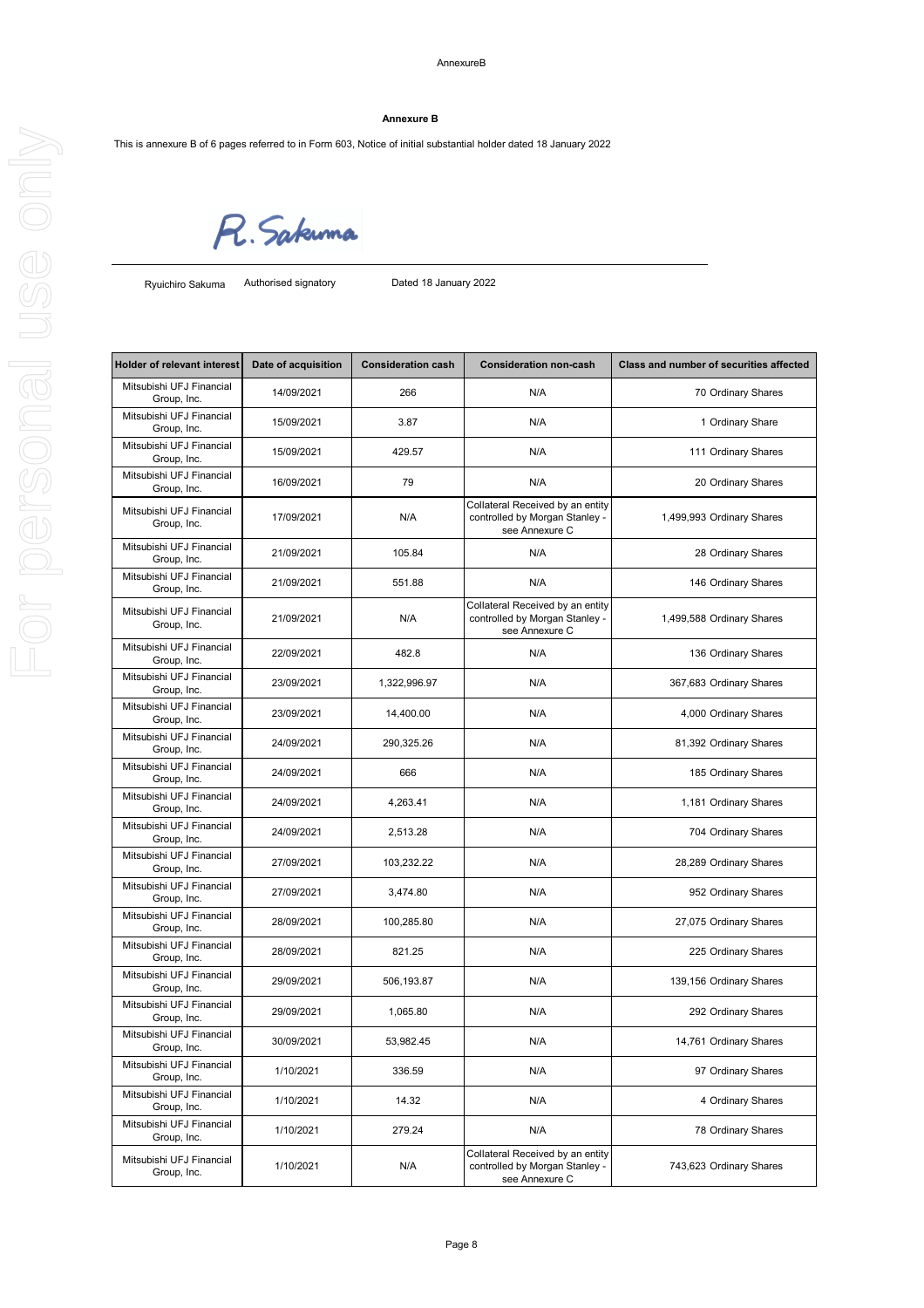This is annexure B of 6 pages referred to in Form 603, Notice of initial substantial holder dated 18 January 2022

R. Sakuma

Authorised signatory Dated 18 January 2022

| Holder of relevant interest             | Date of acquisition | <b>Consideration cash</b> | <b>Consideration non-cash</b>                                                        | <b>Class and number of securities affected</b> |
|-----------------------------------------|---------------------|---------------------------|--------------------------------------------------------------------------------------|------------------------------------------------|
| Mitsubishi UFJ Financial<br>Group, Inc. | 14/09/2021          | 266                       | N/A                                                                                  | 70 Ordinary Shares                             |
| Mitsubishi UFJ Financial<br>Group, Inc. | 15/09/2021          | 3.87                      | N/A                                                                                  | 1 Ordinary Share                               |
| Mitsubishi UFJ Financial<br>Group, Inc. | 15/09/2021          | 429.57                    | N/A                                                                                  | 111 Ordinary Shares                            |
| Mitsubishi UFJ Financial<br>Group, Inc. | 16/09/2021          | 79                        | N/A                                                                                  | 20 Ordinary Shares                             |
| Mitsubishi UFJ Financial<br>Group, Inc. | 17/09/2021          | N/A                       | Collateral Received by an entity<br>controlled by Morgan Stanley -<br>see Annexure C | 1,499,993 Ordinary Shares                      |
| Mitsubishi UFJ Financial<br>Group, Inc. | 21/09/2021          | 105.84                    | N/A                                                                                  | 28 Ordinary Shares                             |
| Mitsubishi UFJ Financial<br>Group, Inc. | 21/09/2021          | 551.88                    | N/A                                                                                  | 146 Ordinary Shares                            |
| Mitsubishi UFJ Financial<br>Group, Inc. | 21/09/2021          | N/A                       | Collateral Received by an entity<br>controlled by Morgan Stanley -<br>see Annexure C | 1,499,588 Ordinary Shares                      |
| Mitsubishi UFJ Financial<br>Group, Inc. | 22/09/2021          | 482.8                     | N/A                                                                                  | 136 Ordinary Shares                            |
| Mitsubishi UFJ Financial<br>Group, Inc. | 23/09/2021          | 1,322,996.97              | N/A                                                                                  | 367,683 Ordinary Shares                        |
| Mitsubishi UFJ Financial<br>Group, Inc. | 23/09/2021          | 14,400.00                 | N/A                                                                                  | 4,000 Ordinary Shares                          |
| Mitsubishi UFJ Financial<br>Group, Inc. | 24/09/2021          | 290,325.26                | N/A                                                                                  | 81,392 Ordinary Shares                         |
| Mitsubishi UFJ Financial<br>Group, Inc. | 24/09/2021          | 666                       | N/A                                                                                  | 185 Ordinary Shares                            |
| Mitsubishi UFJ Financial<br>Group, Inc. | 24/09/2021          | 4,263.41                  | N/A                                                                                  | 1,181 Ordinary Shares                          |
| Mitsubishi UFJ Financial<br>Group, Inc. | 24/09/2021          | 2,513.28                  | N/A                                                                                  | 704 Ordinary Shares                            |
| Mitsubishi UFJ Financial<br>Group, Inc. | 27/09/2021          | 103,232.22                | N/A                                                                                  | 28,289 Ordinary Shares                         |
| Mitsubishi UFJ Financial<br>Group, Inc. | 27/09/2021          | 3,474.80                  | N/A                                                                                  | 952 Ordinary Shares                            |
| Mitsubishi UFJ Financial<br>Group, Inc. | 28/09/2021          | 100,285.80                | N/A                                                                                  | 27,075 Ordinary Shares                         |
| Mitsubishi UFJ Financial<br>Group, Inc. | 28/09/2021          | 821.25                    | N/A                                                                                  | 225 Ordinary Shares                            |
| Mitsubishi UFJ Financial<br>Group, Inc. | 29/09/2021          | 506,193.87                | N/A                                                                                  | 139,156 Ordinary Shares                        |
| Mitsubishi UFJ Financial<br>Group, Inc. | 29/09/2021          | 1,065.80                  | N/A                                                                                  | 292 Ordinary Shares                            |
| Mitsubishi UFJ Financial<br>Group, Inc. | 30/09/2021          | 53,982.45                 | N/A                                                                                  | 14,761 Ordinary Shares                         |
| Mitsubishi UFJ Financial<br>Group, Inc. | 1/10/2021           | 336.59                    | N/A                                                                                  | 97 Ordinary Shares                             |
| Mitsubishi UFJ Financial<br>Group, Inc. | 1/10/2021           | 14.32                     | N/A                                                                                  | 4 Ordinary Shares                              |
| Mitsubishi UFJ Financial<br>Group, Inc. | 1/10/2021           | 279.24                    | N/A                                                                                  | 78 Ordinary Shares                             |
| Mitsubishi UFJ Financial<br>Group, Inc. | 1/10/2021           | N/A                       | Collateral Received by an entity<br>controlled by Morgan Stanley -<br>see Annexure C | 743,623 Ordinary Shares                        |

### **Annexure B**

Ryuichiro Sakuma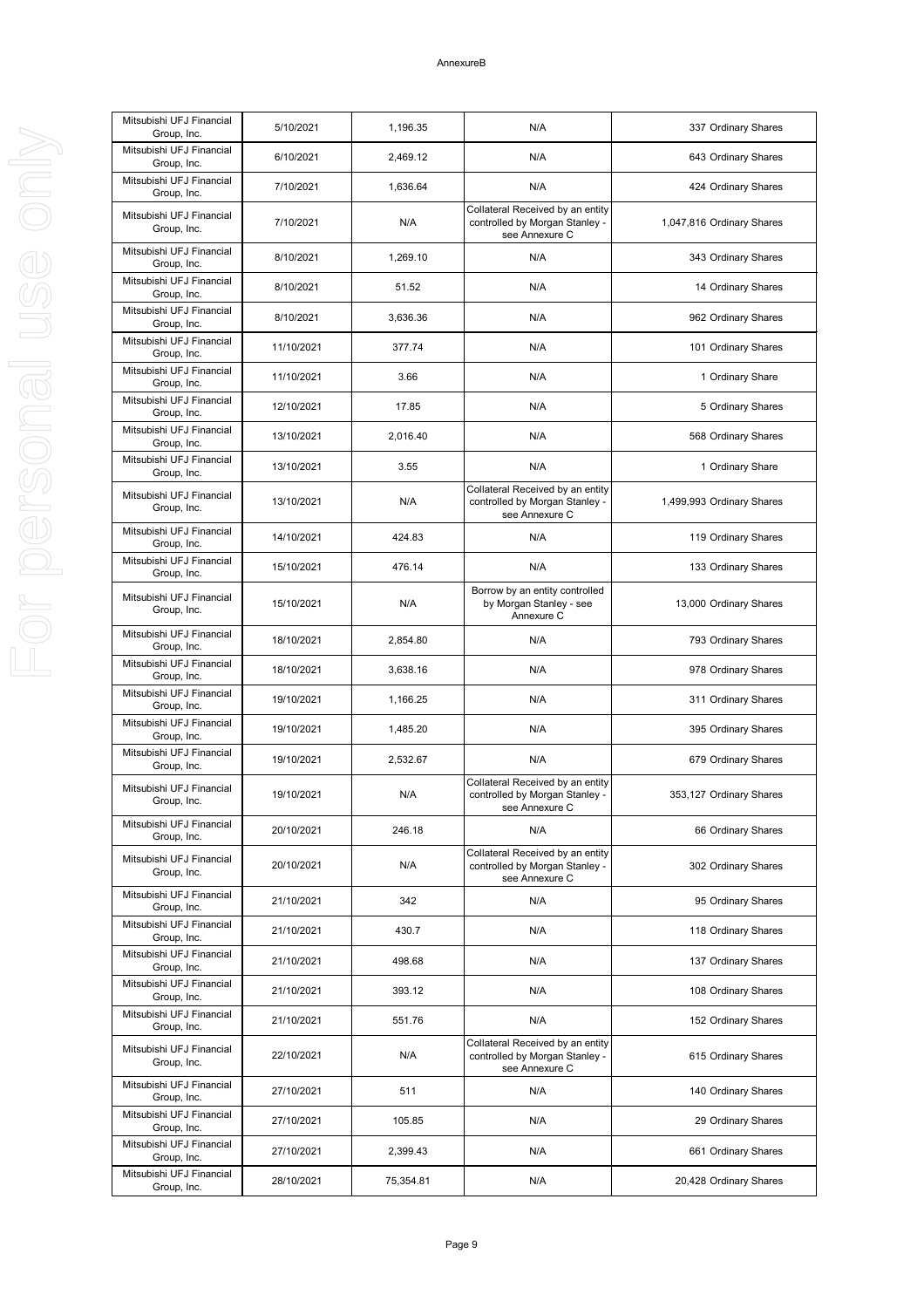| Mitsubishi UFJ Financial<br>Group, Inc. | 5/10/2021  | 1,196.35  | N/A                                                                                  | 337 Ordinary Shares       |
|-----------------------------------------|------------|-----------|--------------------------------------------------------------------------------------|---------------------------|
| Mitsubishi UFJ Financial<br>Group, Inc. | 6/10/2021  | 2,469.12  | N/A                                                                                  | 643 Ordinary Shares       |
| Mitsubishi UFJ Financial<br>Group, Inc. | 7/10/2021  | 1,636.64  | N/A                                                                                  | 424 Ordinary Shares       |
| Mitsubishi UFJ Financial<br>Group, Inc. | 7/10/2021  | N/A       | Collateral Received by an entity<br>controlled by Morgan Stanley -<br>see Annexure C | 1,047,816 Ordinary Shares |
| Mitsubishi UFJ Financial<br>Group, Inc. | 8/10/2021  | 1,269.10  | N/A                                                                                  | 343 Ordinary Shares       |
| Mitsubishi UFJ Financial<br>Group, Inc. | 8/10/2021  | 51.52     | N/A                                                                                  | 14 Ordinary Shares        |
| Mitsubishi UFJ Financial<br>Group, Inc. | 8/10/2021  | 3,636.36  | N/A                                                                                  | 962 Ordinary Shares       |
| Mitsubishi UFJ Financial<br>Group, Inc. | 11/10/2021 | 377.74    | N/A                                                                                  | 101 Ordinary Shares       |
| Mitsubishi UFJ Financial<br>Group, Inc. | 11/10/2021 | 3.66      | N/A                                                                                  | 1 Ordinary Share          |
| Mitsubishi UFJ Financial<br>Group, Inc. | 12/10/2021 | 17.85     | N/A                                                                                  | 5 Ordinary Shares         |
| Mitsubishi UFJ Financial<br>Group, Inc. | 13/10/2021 | 2,016.40  | N/A                                                                                  | 568 Ordinary Shares       |
| Mitsubishi UFJ Financial<br>Group, Inc. | 13/10/2021 | 3.55      | N/A                                                                                  | 1 Ordinary Share          |
| Mitsubishi UFJ Financial<br>Group, Inc. | 13/10/2021 | N/A       | Collateral Received by an entity<br>controlled by Morgan Stanley -<br>see Annexure C | 1,499,993 Ordinary Shares |
| Mitsubishi UFJ Financial<br>Group, Inc. | 14/10/2021 | 424.83    | N/A                                                                                  | 119 Ordinary Shares       |
| Mitsubishi UFJ Financial<br>Group, Inc. | 15/10/2021 | 476.14    | N/A                                                                                  | 133 Ordinary Shares       |
| Mitsubishi UFJ Financial<br>Group, Inc. | 15/10/2021 | N/A       | Borrow by an entity controlled<br>by Morgan Stanley - see<br>Annexure C              | 13,000 Ordinary Shares    |
| Mitsubishi UFJ Financial<br>Group, Inc. | 18/10/2021 | 2,854.80  | N/A                                                                                  | 793 Ordinary Shares       |
| Mitsubishi UFJ Financial<br>Group, Inc. | 18/10/2021 | 3,638.16  | N/A                                                                                  | 978 Ordinary Shares       |
| Mitsubishi UFJ Financial<br>Group, Inc. | 19/10/2021 | 1,166.25  | N/A                                                                                  | 311 Ordinary Shares       |
| Mitsubishi UFJ Financial<br>Group, Inc. | 19/10/2021 | 1,485.20  | N/A                                                                                  | 395 Ordinary Shares       |
| Mitsubishi UFJ Financial<br>Group, Inc. | 19/10/2021 | 2,532.67  | N/A                                                                                  | 679 Ordinary Shares       |
| Mitsubishi UFJ Financial<br>Group, Inc. | 19/10/2021 | N/A       | Collateral Received by an entity<br>controlled by Morgan Stanley -<br>see Annexure C | 353,127 Ordinary Shares   |
| Mitsubishi UFJ Financial<br>Group, Inc. | 20/10/2021 | 246.18    | N/A                                                                                  | 66 Ordinary Shares        |
| Mitsubishi UFJ Financial<br>Group, Inc. | 20/10/2021 | N/A       | Collateral Received by an entity<br>controlled by Morgan Stanley -<br>see Annexure C | 302 Ordinary Shares       |
| Mitsubishi UFJ Financial<br>Group, Inc. | 21/10/2021 | 342       | N/A                                                                                  | 95 Ordinary Shares        |
| Mitsubishi UFJ Financial<br>Group, Inc. | 21/10/2021 | 430.7     | N/A                                                                                  | 118 Ordinary Shares       |
| Mitsubishi UFJ Financial<br>Group, Inc. | 21/10/2021 | 498.68    | N/A                                                                                  | 137 Ordinary Shares       |
| Mitsubishi UFJ Financial<br>Group, Inc. | 21/10/2021 | 393.12    | N/A                                                                                  | 108 Ordinary Shares       |
| Mitsubishi UFJ Financial<br>Group, Inc. | 21/10/2021 | 551.76    | N/A                                                                                  | 152 Ordinary Shares       |
| Mitsubishi UFJ Financial<br>Group, Inc. | 22/10/2021 | N/A       | Collateral Received by an entity<br>controlled by Morgan Stanley -<br>see Annexure C | 615 Ordinary Shares       |
| Mitsubishi UFJ Financial<br>Group, Inc. | 27/10/2021 | 511       | N/A                                                                                  | 140 Ordinary Shares       |
| Mitsubishi UFJ Financial<br>Group, Inc. | 27/10/2021 | 105.85    | N/A                                                                                  | 29 Ordinary Shares        |
| Mitsubishi UFJ Financial<br>Group, Inc. | 27/10/2021 | 2,399.43  | N/A                                                                                  | 661 Ordinary Shares       |
| Mitsubishi UFJ Financial<br>Group, Inc. | 28/10/2021 | 75,354.81 | N/A                                                                                  | 20,428 Ordinary Shares    |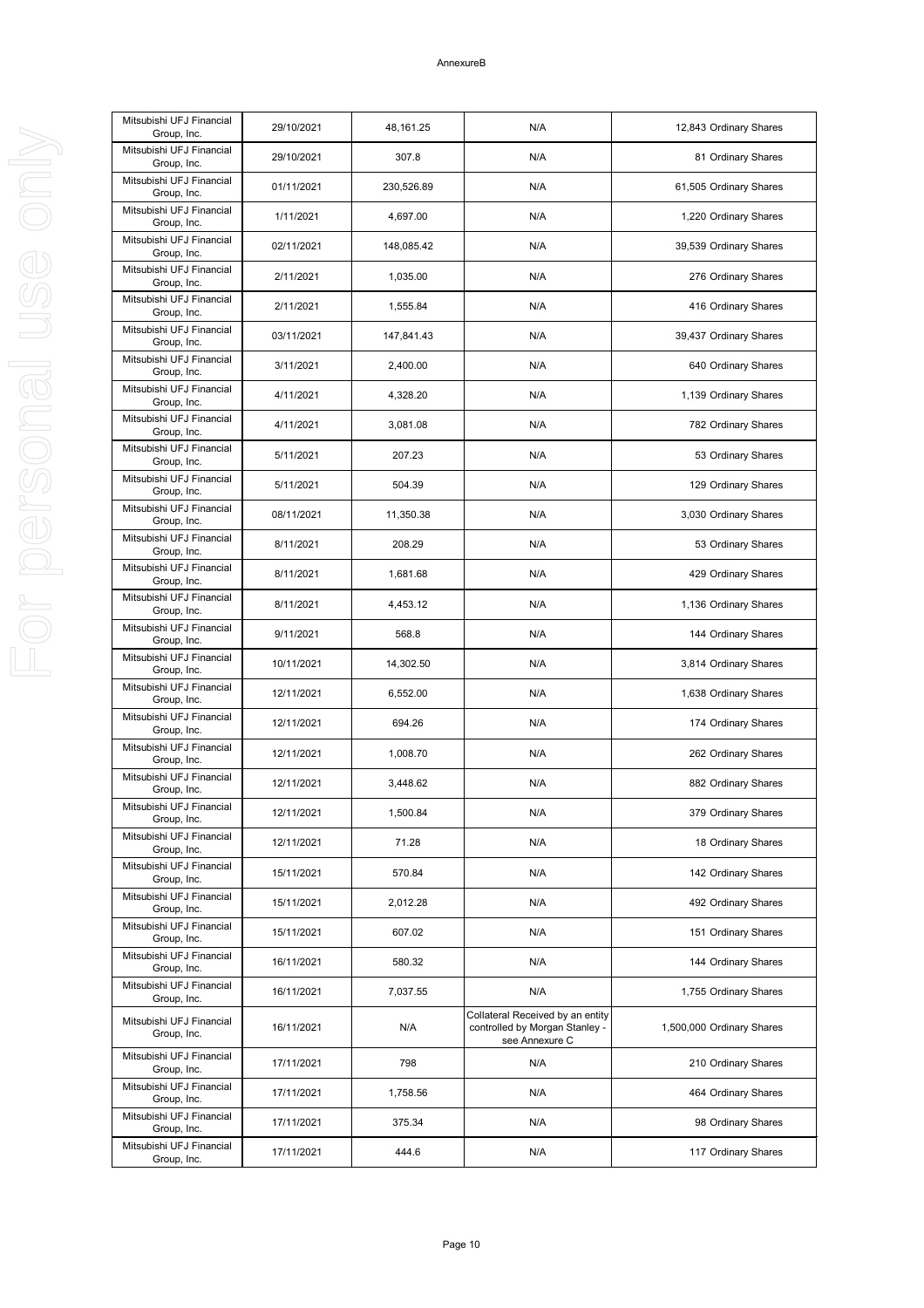| Mitsubishi UFJ Financial<br>Group, Inc. | 29/10/2021 | 48,161.25  | N/A                                                                                  | 12,843 Ordinary Shares    |
|-----------------------------------------|------------|------------|--------------------------------------------------------------------------------------|---------------------------|
| Mitsubishi UFJ Financial<br>Group, Inc. | 29/10/2021 | 307.8      | N/A                                                                                  | 81 Ordinary Shares        |
| Mitsubishi UFJ Financial<br>Group, Inc. | 01/11/2021 | 230,526.89 | N/A                                                                                  | 61,505 Ordinary Shares    |
| Mitsubishi UFJ Financial<br>Group, Inc. | 1/11/2021  | 4,697.00   | N/A                                                                                  | 1,220 Ordinary Shares     |
| Mitsubishi UFJ Financial<br>Group, Inc. | 02/11/2021 | 148,085.42 | N/A                                                                                  | 39,539 Ordinary Shares    |
| Mitsubishi UFJ Financial<br>Group, Inc. | 2/11/2021  | 1,035.00   | N/A                                                                                  | 276 Ordinary Shares       |
| Mitsubishi UFJ Financial<br>Group, Inc. | 2/11/2021  | 1,555.84   | N/A                                                                                  | 416 Ordinary Shares       |
| Mitsubishi UFJ Financial<br>Group, Inc. | 03/11/2021 | 147,841.43 | N/A                                                                                  | 39,437 Ordinary Shares    |
| Mitsubishi UFJ Financial<br>Group, Inc. | 3/11/2021  | 2,400.00   | N/A                                                                                  | 640 Ordinary Shares       |
| Mitsubishi UFJ Financial<br>Group, Inc. | 4/11/2021  | 4,328.20   | N/A                                                                                  | 1,139 Ordinary Shares     |
| Mitsubishi UFJ Financial<br>Group, Inc. | 4/11/2021  | 3,081.08   | N/A                                                                                  | 782 Ordinary Shares       |
| Mitsubishi UFJ Financial<br>Group, Inc. | 5/11/2021  | 207.23     | N/A                                                                                  | 53 Ordinary Shares        |
| Mitsubishi UFJ Financial<br>Group, Inc. | 5/11/2021  | 504.39     | N/A                                                                                  | 129 Ordinary Shares       |
| Mitsubishi UFJ Financial<br>Group, Inc. | 08/11/2021 | 11,350.38  | N/A                                                                                  | 3,030 Ordinary Shares     |
| Mitsubishi UFJ Financial<br>Group, Inc. | 8/11/2021  | 208.29     | N/A                                                                                  | 53 Ordinary Shares        |
| Mitsubishi UFJ Financial<br>Group, Inc. | 8/11/2021  | 1,681.68   | N/A                                                                                  | 429 Ordinary Shares       |
| Mitsubishi UFJ Financial<br>Group, Inc. | 8/11/2021  | 4,453.12   | N/A                                                                                  | 1,136 Ordinary Shares     |
| Mitsubishi UFJ Financial<br>Group, Inc. | 9/11/2021  | 568.8      | N/A                                                                                  | 144 Ordinary Shares       |
| Mitsubishi UFJ Financial<br>Group, Inc. | 10/11/2021 | 14,302.50  | N/A                                                                                  | 3,814 Ordinary Shares     |
| Mitsubishi UFJ Financial<br>Group, Inc. | 12/11/2021 | 6,552.00   | N/A                                                                                  | 1,638 Ordinary Shares     |
| Mitsubishi UFJ Financial<br>Group, Inc. | 12/11/2021 | 694.26     | N/A                                                                                  | 174 Ordinary Shares       |
| Mitsubishi UFJ Financial<br>Group, Inc. | 12/11/2021 | 1,008.70   | N/A                                                                                  | 262 Ordinary Shares       |
| Mitsubishi UFJ Financial<br>Group, Inc. | 12/11/2021 | 3,448.62   | N/A                                                                                  | 882 Ordinary Shares       |
| Mitsubishi UFJ Financial<br>Group, Inc. | 12/11/2021 | 1,500.84   | N/A                                                                                  | 379 Ordinary Shares       |
| Mitsubishi UFJ Financial<br>Group, Inc. | 12/11/2021 | 71.28      | N/A                                                                                  | 18 Ordinary Shares        |
| Mitsubishi UFJ Financial<br>Group, Inc. | 15/11/2021 | 570.84     | N/A                                                                                  | 142 Ordinary Shares       |
| Mitsubishi UFJ Financial<br>Group, Inc. | 15/11/2021 | 2,012.28   | N/A                                                                                  | 492 Ordinary Shares       |
| Mitsubishi UFJ Financial<br>Group, Inc. | 15/11/2021 | 607.02     | N/A                                                                                  | 151 Ordinary Shares       |
| Mitsubishi UFJ Financial<br>Group, Inc. | 16/11/2021 | 580.32     | N/A                                                                                  | 144 Ordinary Shares       |
| Mitsubishi UFJ Financial<br>Group, Inc. | 16/11/2021 | 7,037.55   | N/A                                                                                  | 1,755 Ordinary Shares     |
| Mitsubishi UFJ Financial<br>Group, Inc. | 16/11/2021 | N/A        | Collateral Received by an entity<br>controlled by Morgan Stanley -<br>see Annexure C | 1,500,000 Ordinary Shares |
| Mitsubishi UFJ Financial<br>Group, Inc. | 17/11/2021 | 798        | N/A                                                                                  | 210 Ordinary Shares       |
| Mitsubishi UFJ Financial<br>Group, Inc. | 17/11/2021 | 1,758.56   | N/A                                                                                  | 464 Ordinary Shares       |
| Mitsubishi UFJ Financial<br>Group, Inc. | 17/11/2021 | 375.34     | N/A                                                                                  | 98 Ordinary Shares        |
| Mitsubishi UFJ Financial<br>Group, Inc. | 17/11/2021 | 444.6      | N/A                                                                                  | 117 Ordinary Shares       |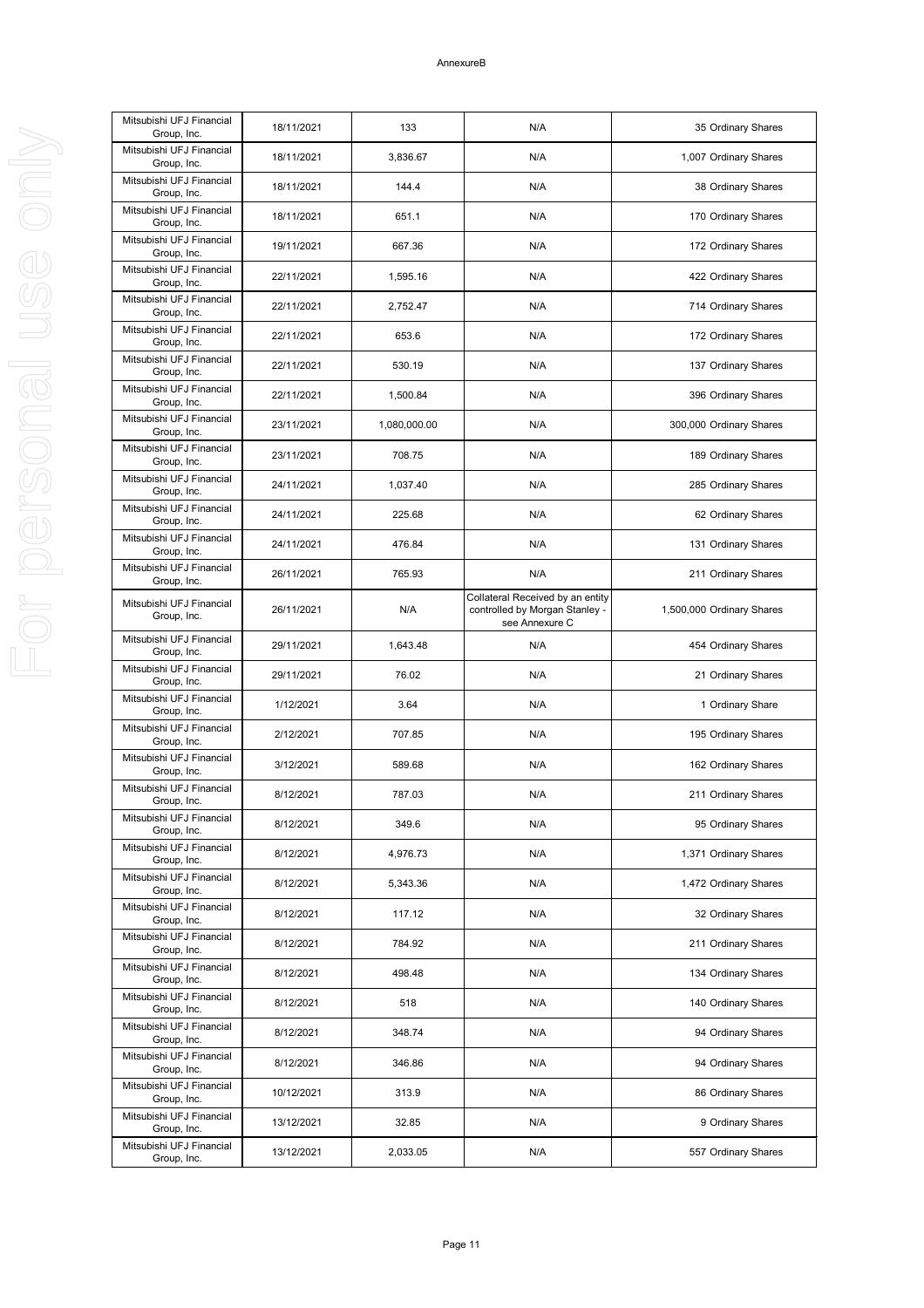| Mitsubishi UFJ Financial<br>Group, Inc. | 18/11/2021 | 133          | N/A                                                                                  | 35 Ordinary Shares        |
|-----------------------------------------|------------|--------------|--------------------------------------------------------------------------------------|---------------------------|
| Mitsubishi UFJ Financial<br>Group, Inc. | 18/11/2021 | 3,836.67     | N/A                                                                                  | 1,007 Ordinary Shares     |
| Mitsubishi UFJ Financial<br>Group, Inc. | 18/11/2021 | 144.4        | N/A                                                                                  | 38 Ordinary Shares        |
| Mitsubishi UFJ Financial<br>Group, Inc. | 18/11/2021 | 651.1        | N/A                                                                                  | 170 Ordinary Shares       |
| Mitsubishi UFJ Financial<br>Group, Inc. | 19/11/2021 | 667.36       | N/A                                                                                  | 172 Ordinary Shares       |
| Mitsubishi UFJ Financial<br>Group, Inc. | 22/11/2021 | 1,595.16     | N/A                                                                                  | 422 Ordinary Shares       |
| Mitsubishi UFJ Financial<br>Group, Inc. | 22/11/2021 | 2,752.47     | N/A                                                                                  | 714 Ordinary Shares       |
| Mitsubishi UFJ Financial<br>Group, Inc. | 22/11/2021 | 653.6        | N/A                                                                                  | 172 Ordinary Shares       |
| Mitsubishi UFJ Financial<br>Group, Inc. | 22/11/2021 | 530.19       | N/A                                                                                  | 137 Ordinary Shares       |
| Mitsubishi UFJ Financial<br>Group, Inc. | 22/11/2021 | 1,500.84     | N/A                                                                                  | 396 Ordinary Shares       |
| Mitsubishi UFJ Financial<br>Group, Inc. | 23/11/2021 | 1,080,000.00 | N/A                                                                                  | 300,000 Ordinary Shares   |
| Mitsubishi UFJ Financial<br>Group, Inc. | 23/11/2021 | 708.75       | N/A                                                                                  | 189 Ordinary Shares       |
| Mitsubishi UFJ Financial<br>Group, Inc. | 24/11/2021 | 1,037.40     | N/A                                                                                  | 285 Ordinary Shares       |
| Mitsubishi UFJ Financial<br>Group, Inc. | 24/11/2021 | 225.68       | N/A                                                                                  | 62 Ordinary Shares        |
| Mitsubishi UFJ Financial<br>Group, Inc. | 24/11/2021 | 476.84       | N/A                                                                                  | 131 Ordinary Shares       |
| Mitsubishi UFJ Financial<br>Group, Inc. | 26/11/2021 | 765.93       | N/A                                                                                  | 211 Ordinary Shares       |
| Mitsubishi UFJ Financial<br>Group, Inc. | 26/11/2021 | N/A          | Collateral Received by an entity<br>controlled by Morgan Stanley -<br>see Annexure C | 1,500,000 Ordinary Shares |
| Mitsubishi UFJ Financial<br>Group, Inc. | 29/11/2021 | 1,643.48     | N/A                                                                                  | 454 Ordinary Shares       |
| Mitsubishi UFJ Financial<br>Group, Inc. | 29/11/2021 | 76.02        | N/A                                                                                  | 21 Ordinary Shares        |
| Mitsubishi UFJ Financial<br>Group, Inc. | 1/12/2021  | 3.64         | N/A                                                                                  | 1 Ordinary Share          |
| Mitsubishi UFJ Financial<br>Group, Inc. | 2/12/2021  | 707.85       | N/A                                                                                  | 195 Ordinary Shares       |
| Mitsubishi UFJ Financial<br>Group, Inc. | 3/12/2021  | 589.68       | N/A                                                                                  | 162 Ordinary Shares       |
| Mitsubishi UFJ Financial<br>Group, Inc. | 8/12/2021  | 787.03       | N/A                                                                                  | 211 Ordinary Shares       |
| Mitsubishi UFJ Financial<br>Group, Inc. | 8/12/2021  | 349.6        | N/A                                                                                  | 95 Ordinary Shares        |
| Mitsubishi UFJ Financial<br>Group, Inc. | 8/12/2021  | 4,976.73     | N/A                                                                                  | 1,371 Ordinary Shares     |
| Mitsubishi UFJ Financial<br>Group, Inc. | 8/12/2021  | 5,343.36     | N/A                                                                                  | 1,472 Ordinary Shares     |
| Mitsubishi UFJ Financial<br>Group, Inc. | 8/12/2021  | 117.12       | N/A                                                                                  | 32 Ordinary Shares        |
| Mitsubishi UFJ Financial<br>Group, Inc. | 8/12/2021  | 784.92       | N/A                                                                                  | 211 Ordinary Shares       |
| Mitsubishi UFJ Financial<br>Group, Inc. | 8/12/2021  | 498.48       | N/A                                                                                  | 134 Ordinary Shares       |
| Mitsubishi UFJ Financial<br>Group, Inc. | 8/12/2021  | 518          | N/A                                                                                  | 140 Ordinary Shares       |
| Mitsubishi UFJ Financial<br>Group, Inc. | 8/12/2021  | 348.74       | N/A                                                                                  | 94 Ordinary Shares        |
| Mitsubishi UFJ Financial<br>Group, Inc. | 8/12/2021  | 346.86       | N/A                                                                                  | 94 Ordinary Shares        |
| Mitsubishi UFJ Financial<br>Group, Inc. | 10/12/2021 | 313.9        | N/A                                                                                  | 86 Ordinary Shares        |
| Mitsubishi UFJ Financial<br>Group, Inc. | 13/12/2021 | 32.85        | N/A                                                                                  | 9 Ordinary Shares         |
| Mitsubishi UFJ Financial                | 13/12/2021 | 2,033.05     | N/A                                                                                  | 557 Ordinary Shares       |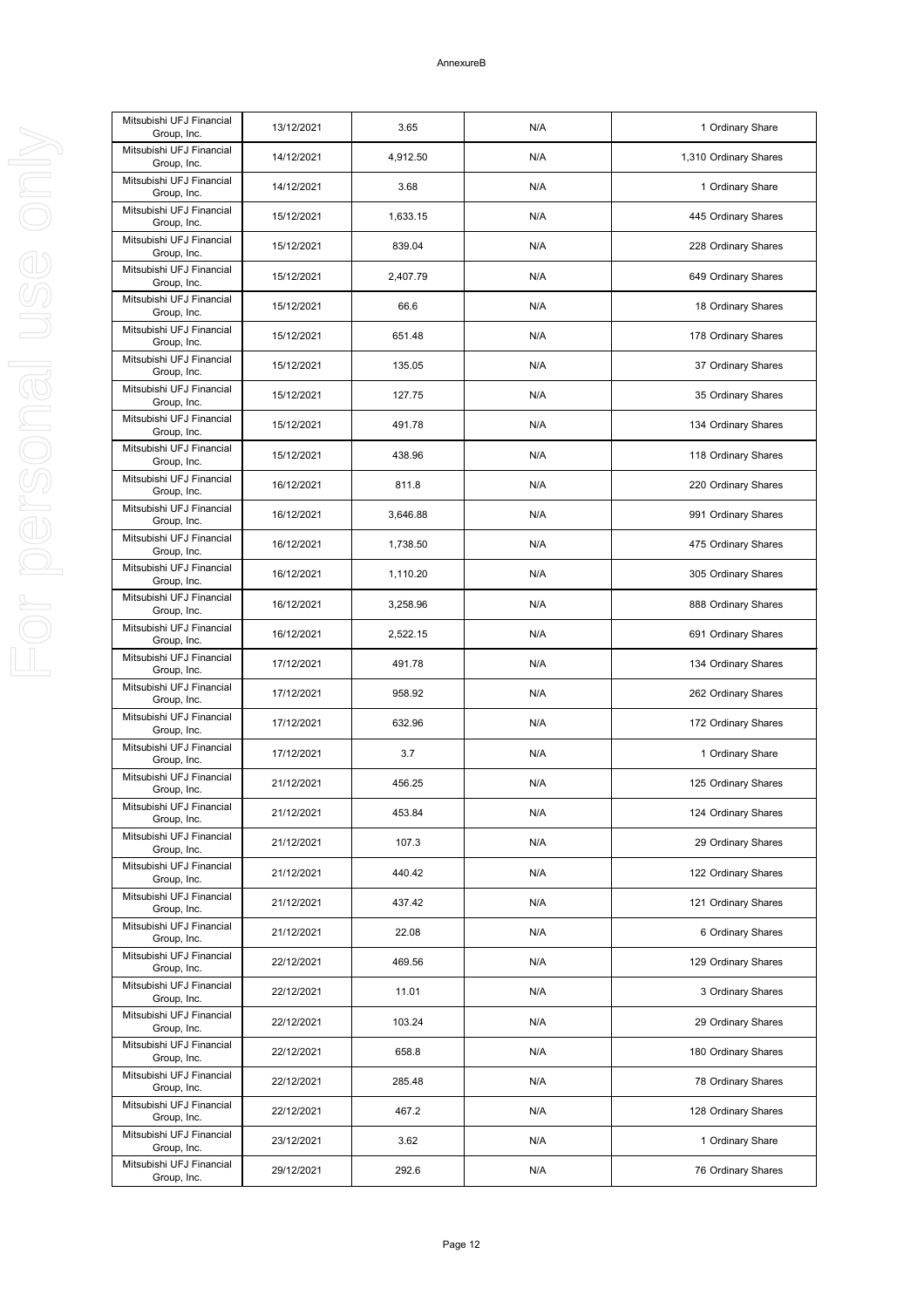| Mitsubishi UFJ Financial<br>Group, Inc. | 13/12/2021 | 3.65     | N/A | 1 Ordinary Share      |
|-----------------------------------------|------------|----------|-----|-----------------------|
| Mitsubishi UFJ Financial<br>Group, Inc. | 14/12/2021 | 4,912.50 | N/A | 1,310 Ordinary Shares |
| Mitsubishi UFJ Financial<br>Group, Inc. | 14/12/2021 | 3.68     | N/A | 1 Ordinary Share      |
| Mitsubishi UFJ Financial<br>Group, Inc. | 15/12/2021 | 1,633.15 | N/A | 445 Ordinary Shares   |
| Mitsubishi UFJ Financial<br>Group, Inc. | 15/12/2021 | 839.04   | N/A | 228 Ordinary Shares   |
| Mitsubishi UFJ Financial<br>Group, Inc. | 15/12/2021 | 2,407.79 | N/A | 649 Ordinary Shares   |
| Mitsubishi UFJ Financial<br>Group, Inc. | 15/12/2021 | 66.6     | N/A | 18 Ordinary Shares    |
| Mitsubishi UFJ Financial<br>Group, Inc. | 15/12/2021 | 651.48   | N/A | 178 Ordinary Shares   |
| Mitsubishi UFJ Financial<br>Group, Inc. | 15/12/2021 | 135.05   | N/A | 37 Ordinary Shares    |
| Mitsubishi UFJ Financial<br>Group, Inc. | 15/12/2021 | 127.75   | N/A | 35 Ordinary Shares    |
| Mitsubishi UFJ Financial<br>Group, Inc. | 15/12/2021 | 491.78   | N/A | 134 Ordinary Shares   |
| Mitsubishi UFJ Financial<br>Group, Inc. | 15/12/2021 | 438.96   | N/A | 118 Ordinary Shares   |
| Mitsubishi UFJ Financial<br>Group, Inc. | 16/12/2021 | 811.8    | N/A | 220 Ordinary Shares   |
| Mitsubishi UFJ Financial<br>Group, Inc. | 16/12/2021 | 3,646.88 | N/A | 991 Ordinary Shares   |
| Mitsubishi UFJ Financial<br>Group, Inc. | 16/12/2021 | 1,738.50 | N/A | 475 Ordinary Shares   |
| Mitsubishi UFJ Financial<br>Group, Inc. | 16/12/2021 | 1,110.20 | N/A | 305 Ordinary Shares   |
| Mitsubishi UFJ Financial<br>Group, Inc. | 16/12/2021 | 3,258.96 | N/A | 888 Ordinary Shares   |
| Mitsubishi UFJ Financial<br>Group, Inc. | 16/12/2021 | 2,522.15 | N/A | 691 Ordinary Shares   |
| Mitsubishi UFJ Financial<br>Group, Inc. | 17/12/2021 | 491.78   | N/A | 134 Ordinary Shares   |
| Mitsubishi UFJ Financial<br>Group, Inc. | 17/12/2021 | 958.92   | N/A | 262 Ordinary Shares   |
| Mitsubishi UFJ Financial<br>Group, Inc. | 17/12/2021 | 632.96   | N/A | 172 Ordinary Shares   |
| Mitsubishi UFJ Financial<br>Group, Inc. | 17/12/2021 | 3.7      | N/A | 1 Ordinary Share      |
| Mitsubishi UFJ Financial<br>Group, Inc. | 21/12/2021 | 456.25   | N/A | 125 Ordinary Shares   |
| Mitsubishi UFJ Financial<br>Group, Inc. | 21/12/2021 | 453.84   | N/A | 124 Ordinary Shares   |
| Mitsubishi UFJ Financial<br>Group, Inc. | 21/12/2021 | 107.3    | N/A | 29 Ordinary Shares    |
| Mitsubishi UFJ Financial<br>Group, Inc. | 21/12/2021 | 440.42   | N/A | 122 Ordinary Shares   |
| Mitsubishi UFJ Financial<br>Group, Inc. | 21/12/2021 | 437.42   | N/A | 121 Ordinary Shares   |
| Mitsubishi UFJ Financial<br>Group, Inc. | 21/12/2021 | 22.08    | N/A | 6 Ordinary Shares     |
| Mitsubishi UFJ Financial<br>Group, Inc. | 22/12/2021 | 469.56   | N/A | 129 Ordinary Shares   |
| Mitsubishi UFJ Financial<br>Group, Inc. | 22/12/2021 | 11.01    | N/A | 3 Ordinary Shares     |
| Mitsubishi UFJ Financial<br>Group, Inc. | 22/12/2021 | 103.24   | N/A | 29 Ordinary Shares    |
| Mitsubishi UFJ Financial<br>Group, Inc. | 22/12/2021 | 658.8    | N/A | 180 Ordinary Shares   |
| Mitsubishi UFJ Financial<br>Group, Inc. | 22/12/2021 | 285.48   | N/A | 78 Ordinary Shares    |
| Mitsubishi UFJ Financial<br>Group, Inc. | 22/12/2021 | 467.2    | N/A | 128 Ordinary Shares   |
| Mitsubishi UFJ Financial<br>Group, Inc. | 23/12/2021 | 3.62     | N/A | 1 Ordinary Share      |
| Mitsubishi UFJ Financial<br>Group, Inc. | 29/12/2021 | 292.6    | N/A | 76 Ordinary Shares    |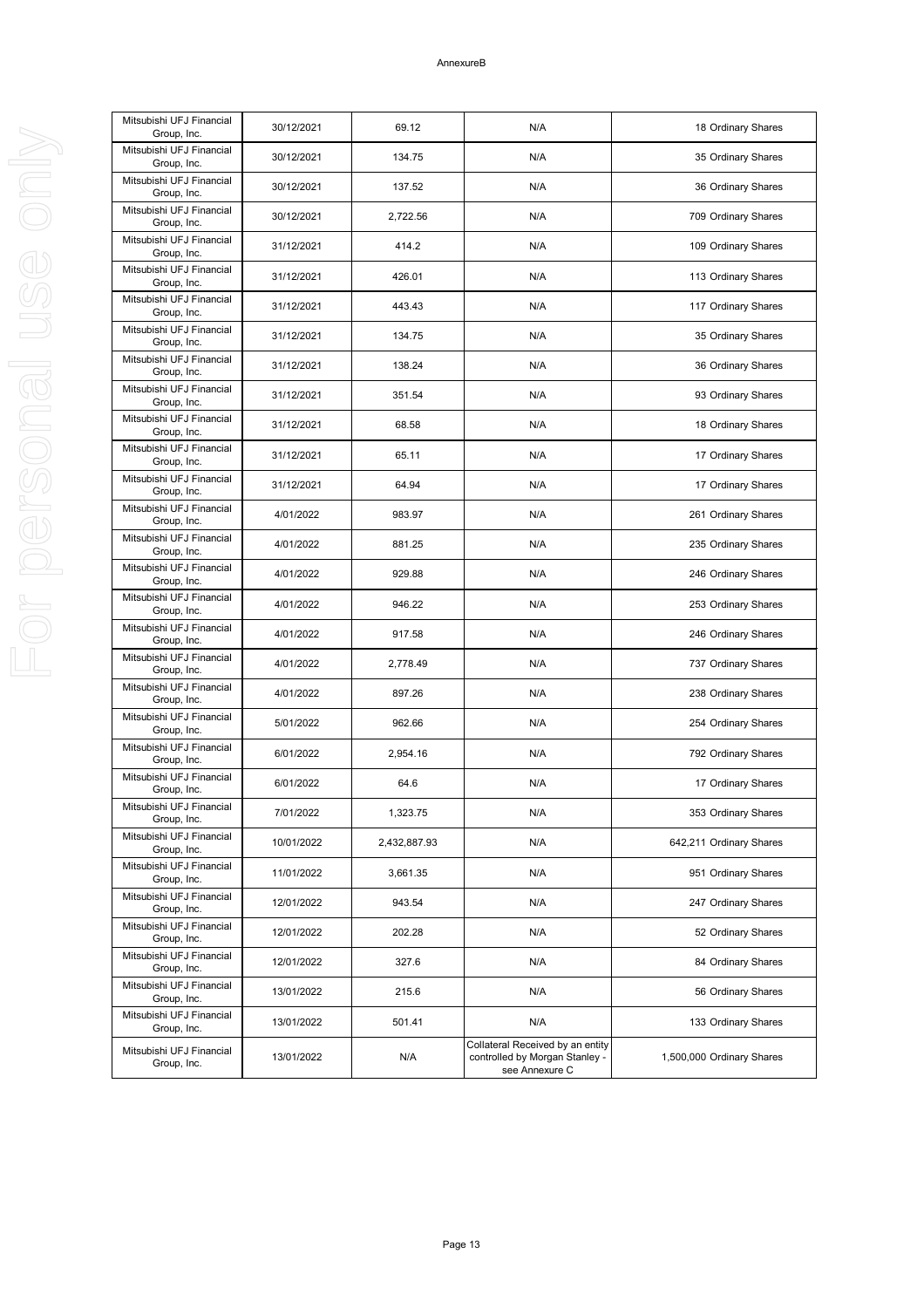| Mitsubishi UFJ Financial<br>Group, Inc. | 30/12/2021 | 69.12        | N/A                                                                                  | 18 Ordinary Shares        |
|-----------------------------------------|------------|--------------|--------------------------------------------------------------------------------------|---------------------------|
| Mitsubishi UFJ Financial<br>Group, Inc. | 30/12/2021 | 134.75       | N/A                                                                                  | 35 Ordinary Shares        |
| Mitsubishi UFJ Financial<br>Group, Inc. | 30/12/2021 | 137.52       | N/A                                                                                  | 36 Ordinary Shares        |
| Mitsubishi UFJ Financial<br>Group, Inc. | 30/12/2021 | 2,722.56     | N/A                                                                                  | 709 Ordinary Shares       |
| Mitsubishi UFJ Financial<br>Group, Inc. | 31/12/2021 | 414.2        | N/A                                                                                  | 109 Ordinary Shares       |
| Mitsubishi UFJ Financial<br>Group, Inc. | 31/12/2021 | 426.01       | N/A                                                                                  | 113 Ordinary Shares       |
| Mitsubishi UFJ Financial<br>Group, Inc. | 31/12/2021 | 443.43       | N/A                                                                                  | 117 Ordinary Shares       |
| Mitsubishi UFJ Financial<br>Group, Inc. | 31/12/2021 | 134.75       | N/A                                                                                  | 35 Ordinary Shares        |
| Mitsubishi UFJ Financial<br>Group, Inc. | 31/12/2021 | 138.24       | N/A                                                                                  | 36 Ordinary Shares        |
| Mitsubishi UFJ Financial<br>Group, Inc. | 31/12/2021 | 351.54       | N/A                                                                                  | 93 Ordinary Shares        |
| Mitsubishi UFJ Financial<br>Group, Inc. | 31/12/2021 | 68.58        | N/A                                                                                  | 18 Ordinary Shares        |
| Mitsubishi UFJ Financial<br>Group, Inc. | 31/12/2021 | 65.11        | N/A                                                                                  | 17 Ordinary Shares        |
| Mitsubishi UFJ Financial<br>Group, Inc. | 31/12/2021 | 64.94        | N/A                                                                                  | 17 Ordinary Shares        |
| Mitsubishi UFJ Financial<br>Group, Inc. | 4/01/2022  | 983.97       | N/A                                                                                  | 261 Ordinary Shares       |
| Mitsubishi UFJ Financial<br>Group, Inc. | 4/01/2022  | 881.25       | N/A                                                                                  | 235 Ordinary Shares       |
| Mitsubishi UFJ Financial<br>Group, Inc. | 4/01/2022  | 929.88       | N/A                                                                                  | 246 Ordinary Shares       |
| Mitsubishi UFJ Financial<br>Group, Inc. | 4/01/2022  | 946.22       | N/A                                                                                  | 253 Ordinary Shares       |
| Mitsubishi UFJ Financial<br>Group, Inc. | 4/01/2022  | 917.58       | N/A                                                                                  | 246 Ordinary Shares       |
| Mitsubishi UFJ Financial<br>Group, Inc. | 4/01/2022  | 2,778.49     | N/A                                                                                  | 737 Ordinary Shares       |
| Mitsubishi UFJ Financial<br>Group, Inc. | 4/01/2022  | 897.26       | N/A                                                                                  | 238 Ordinary Shares       |
| Mitsubishi UFJ Financial<br>Group, Inc. | 5/01/2022  | 962.66       | N/A                                                                                  | 254 Ordinary Shares       |
| Mitsubishi UFJ Financial<br>Group, Inc. | 6/01/2022  | 2,954.16     | N/A                                                                                  | 792 Ordinary Shares       |
| Mitsubishi UFJ Financial<br>Group, Inc. | 6/01/2022  | 64.6         | N/A                                                                                  | 17 Ordinary Shares        |
| Mitsubishi UFJ Financial<br>Group, Inc. | 7/01/2022  | 1,323.75     | N/A                                                                                  | 353 Ordinary Shares       |
| Mitsubishi UFJ Financial<br>Group, Inc. | 10/01/2022 | 2,432,887.93 | N/A                                                                                  | 642,211 Ordinary Shares   |
| Mitsubishi UFJ Financial<br>Group, Inc. | 11/01/2022 | 3,661.35     | N/A                                                                                  | 951 Ordinary Shares       |
| Mitsubishi UFJ Financial<br>Group, Inc. | 12/01/2022 | 943.54       | N/A                                                                                  | 247 Ordinary Shares       |
| Mitsubishi UFJ Financial<br>Group, Inc. | 12/01/2022 | 202.28       | N/A                                                                                  | 52 Ordinary Shares        |
| Mitsubishi UFJ Financial<br>Group, Inc. | 12/01/2022 | 327.6        | N/A                                                                                  | 84 Ordinary Shares        |
| Mitsubishi UFJ Financial<br>Group, Inc. | 13/01/2022 | 215.6        | N/A                                                                                  | 56 Ordinary Shares        |
| Mitsubishi UFJ Financial<br>Group, Inc. | 13/01/2022 | 501.41       | N/A                                                                                  | 133 Ordinary Shares       |
| Mitsubishi UFJ Financial<br>Group, Inc. | 13/01/2022 | N/A          | Collateral Received by an entity<br>controlled by Morgan Stanley -<br>see Annexure C | 1,500,000 Ordinary Shares |